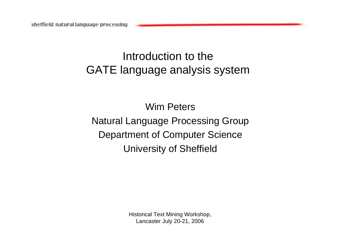# Introduction to the GATE language analysis system

Wim PetersNatural Language Processing Group Department of Computer Science University of Sheffield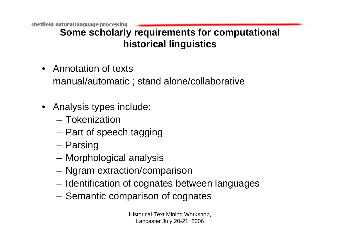**Some scholarly requirements for computational historical linguistics**

- Annotation of textsmanual/automatic ; stand alone/collaborative
- Analysis types include:
	- Tokenization
	- –Part of speech tagging
	- and the state of the Parsing
	- –Morphological analysis
	- **Links of the Common** Ngram extraction/comparison
	- and the state of the Identification of cognates between languages
	- –Semantic comparison of cognates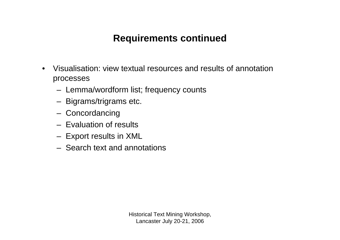# **Requirements continued**

- • Visualisation: view textual resources and results of annotation processes
	- Lemma/wordform list; frequency counts
	- Bigrams/trigrams etc.
	- Concordancing
	- Evaluation of results
	- Export results in XML
	- Search text and annotations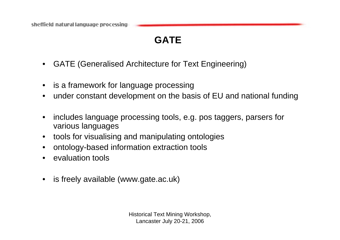# **GATE**

- •GATE (Generalised Architecture for Text Engineering)
- •is a framework for language processing
- •under constant development on the basis of EU and national funding
- • includes language processing tools, e.g. pos taggers, parsers for various languages
- •tools for visualising and manipulating ontologies
- •ontology-based information extraction tools
- •evaluation tools
- $\bullet$ is freely available (www.gate.ac.uk)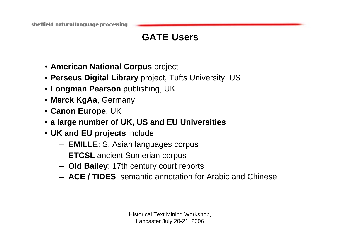# **GATE Users**

- **American National Corpus** project
- **Perseus Digital Library** project, Tufts University, US
- **Longman Pearson** publishing, UK
- **Merck KgAa**, Germany
- **Canon Europe**, UK
- **a large number of UK, US and EU Universities**
- **UK and EU projects** include
	- **EMILLE**: S. Asian languages corpus
	- **ETCSL** ancient Sumerian corpus
	- **Old Bailey**: 17th century court reports
	- **ACE / TIDES**: semantic annotation for Arabic and Chinese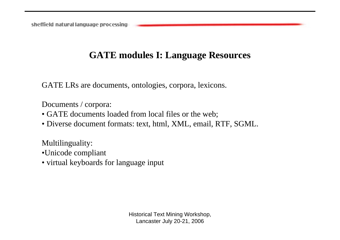#### **GATE modules I: Language Resources**

GATE LRs are documents, ontologies, corpora, lexicons.

Documents / corpora:

- GATE documents loaded from local files or the web;
- Diverse document formats: text, html, XML, email, RTF, SGML.

Multilinguality:

- •Unicode compliant
- virtual keyboards for language input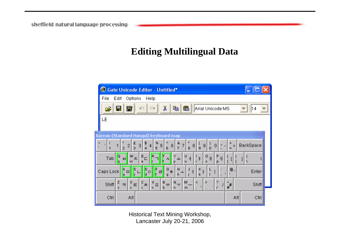### **Editing Multilingual Data**

| <sup>6</sup> Gate Unicode Editor - Untitled*                                                                                                                                                                     |                     |
|------------------------------------------------------------------------------------------------------------------------------------------------------------------------------------------------------------------|---------------------|
| File<br>Options<br>Edit<br>Help                                                                                                                                                                                  |                     |
| y,<br>團<br>雷<br>昀<br>q<br>Arial Unicode MS<br>É<br>KQ.<br>Œ                                                                                                                                                      | 14                  |
| 내                                                                                                                                                                                                                |                     |
| Korean (Standard Hangul) keyboard map                                                                                                                                                                            |                     |
| %<br>$rac{2}{3}$<br>\$<br>ø,<br>।<br>९<br>ó<br>5<br>3<br>6<br>$\overline{8}$<br>8<br> 2 <br> 9 <br>4 <sup>1</sup><br>0<br>$\overline{7}$<br>$\overline{z}$<br>$\overline{5}$<br>$\overline{6}$<br>$\overline{2}$ | BackSpace           |
| W<br>$E_{\bigoplus}$<br>U<br>o<br>P<br>Q<br>H<br>Tab<br>卝<br>$\,$ $\,$ $\,$<br>ᄎ<br>$\overline{a}$<br>$\blacksquare$<br>ᅭ<br>p.<br>$\circ$<br>q<br>w<br>$\mathbf{u}$<br>ν                                        |                     |
| s<br>D<br>$G_{\frac{1}{\sigma}}$<br>H<br>К<br>A<br>Caps Lock<br>$\mathsf{F}$<br>$\Box$<br>$\equiv$<br>$\mathsf{I}$<br>o<br>$\mathbf k$<br>d<br>h<br>la<br>q                                                      | ◎<br>Enter          |
| B<br>M<br>$\mathbb{V}_{\frac{\overline{M}}{2}}$<br>k<br>$\mathbf{N}$<br>?<br>/<br>z<br>Х<br>с<br>×<br>。<br>未<br>Shift<br>$\mathsf{E}% _{T}$<br>$\Rightarrow$<br>ţ<br>$\pi$<br>٠<br>ь<br>$\times$<br>z<br>m<br>n  | Shift<br>$($ # $^#$ |
| Alt<br>Ctrl                                                                                                                                                                                                      | Alt<br>Ctrl         |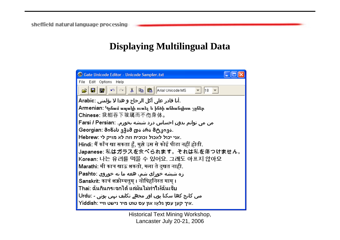### **Displaying Multilingual Data**

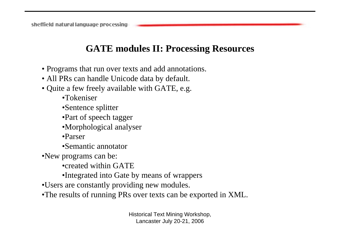#### **GATE modules II: Processing Resources**

- Programs that run over texts and add annotations.
- All PRs can handle Unicode data by default.
- Quite a few freely available with GATE, e.g.
	- •Tokeniser
	- •Sentence splitter
	- •Part of speech tagger
	- •Morphological analyser
	- •Parser
	- •Semantic annotator
- •New programs can be:
	- •created within GATE
	- •Integrated into Gate by means of wrappers
- •Users are constantly providing new modules.
- •The results of running PRs over texts can be exported in XML.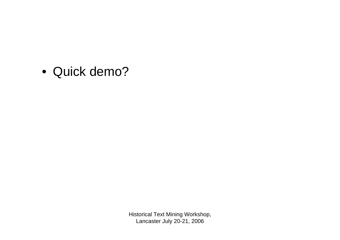• Quick demo?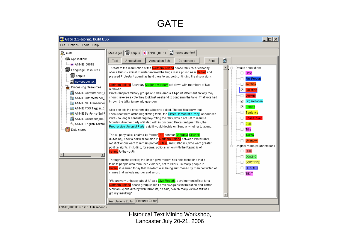# **GATE**

| G Gate 2.1-alpha1 build 856                                                                                                                                                                                                                                                                                                                                                            |                                                                                                                                                                                                                                                                                                                                                                                                                                                                                                                                                                                                                                                                                                                                                                                                                                                                                                                                                                                                                                                                                                                                                                                                                                                                                                                                                                                                                                                                                                                                                                                                                                                                                                                                                                                                                                                               | $ \Box$ $\times$                                                                                                                                                                                                                                                                                                                                                                                                                                                             |
|----------------------------------------------------------------------------------------------------------------------------------------------------------------------------------------------------------------------------------------------------------------------------------------------------------------------------------------------------------------------------------------|---------------------------------------------------------------------------------------------------------------------------------------------------------------------------------------------------------------------------------------------------------------------------------------------------------------------------------------------------------------------------------------------------------------------------------------------------------------------------------------------------------------------------------------------------------------------------------------------------------------------------------------------------------------------------------------------------------------------------------------------------------------------------------------------------------------------------------------------------------------------------------------------------------------------------------------------------------------------------------------------------------------------------------------------------------------------------------------------------------------------------------------------------------------------------------------------------------------------------------------------------------------------------------------------------------------------------------------------------------------------------------------------------------------------------------------------------------------------------------------------------------------------------------------------------------------------------------------------------------------------------------------------------------------------------------------------------------------------------------------------------------------------------------------------------------------------------------------------------------------|------------------------------------------------------------------------------------------------------------------------------------------------------------------------------------------------------------------------------------------------------------------------------------------------------------------------------------------------------------------------------------------------------------------------------------------------------------------------------|
| Options Tools Help<br>File<br>Gate<br>白 68 Applications<br><b>X</b> ANNIE_0001E<br>中国 Language Resources<br><b>匐</b><br>corpus<br>$\mathbf{B}$ newspaper text<br>Processing Resources<br>Ė.<br>ANNIE Coreferencer_(<br>图 ANNIE OrthoMatcher_<br>图 ANNIE NE Transducer<br>图 ANNIE POS Tagger_0<br>图 ANNIE Sentence Splitt<br>ANNIE Gazetteer_000<br>ANNIE English Tokeni<br>Data stores | Messages   1 corpus   ※ ANNIE_0001E   3 newspaper text<br><b>Annotation Sets</b><br>Text<br>Annotations<br>Print<br>Coreference<br>Threats to the resumption of the Northern Ireland peace talks receded today<br>after a British cabinet minister entered the huge Maze prison near <b>Belfast</b> and<br>pressed Protestant guerrillas held there to support continuing the discussions.<br>Northern Ireland Secretary Marjorie Mowlam sat down with members of two<br>outlawed<br>Protestant paramilitary groups and delivered a 14-point statement on why they<br>should reverse a vote they took last weekend to condemn the talks. That vote had<br>thrown the talks' future into question.<br>After she left, the prisoners did what she asked. The political party that<br>speaks for them at the negotiating table, the Ulster Democratic Party, announced<br>it was no longer considering boycotting the talks, which are set to resume<br>Monday. Another party affiliated with imprisoned Protestant guerrillas, the<br>Progressive Unionist Party, said it would decide on Sunday whether to attend.<br>The all-party talks, chaired by former U.S. senator George J. Mitchell<br>(D-Maine), seek a political solution in Northern Ireland between Protestants,<br>most of whom want to remain part of Britain, and Catholics, who want greater<br>political rights, including, for some, political union with the Republic of<br><b>Ireland</b> to the south.<br>Throughout the conflict, the British government has held to the line that it<br>talks to people who renounce violence, not to killers. To many people in<br>Britain, it seemed today that Mowlam was being summoned by men convicted of<br>crimes that include murder and arson.<br>"We are very unhappy about it," said <mark>Glyn Roberts</mark> , development officer for a | 화<br>le 11<br>$\boxdot$ $\boxdot$ Default annotations<br><sup></sup> ⊡ Date<br>FirstPerson<br>JobTitle<br>$\blacktriangledown$<br>Location<br>Lookup<br>$\Box$<br>$\blacktriangledown$<br>Organization<br>☑ Person<br><b>Sentence</b><br><b>SpaceToken</b><br>Split<br><b>Title</b><br>$\cdot \Box$ .<br>Token<br>П.<br>Unknown<br>白… Original markups annotations<br>$-\Box$ DOC<br>$\Box$ DOCNO<br>$\Box$ DOCTYPE<br><b>HEADER</b><br>□.<br><b>TEXT</b><br>$\cdots$ $\Box$ |
|                                                                                                                                                                                                                                                                                                                                                                                        | Northern Ireland peace group called Families Against Intimidation and Terror.<br>Mowlam spoke directly with terrorists, he said, "which many victims felt was<br>grossly insulting."<br>Features Editor<br>Annotations Editor                                                                                                                                                                                                                                                                                                                                                                                                                                                                                                                                                                                                                                                                                                                                                                                                                                                                                                                                                                                                                                                                                                                                                                                                                                                                                                                                                                                                                                                                                                                                                                                                                                 |                                                                                                                                                                                                                                                                                                                                                                                                                                                                              |
| ANNIE_0001E run in 1.156 seconds                                                                                                                                                                                                                                                                                                                                                       |                                                                                                                                                                                                                                                                                                                                                                                                                                                                                                                                                                                                                                                                                                                                                                                                                                                                                                                                                                                                                                                                                                                                                                                                                                                                                                                                                                                                                                                                                                                                                                                                                                                                                                                                                                                                                                                               |                                                                                                                                                                                                                                                                                                                                                                                                                                                                              |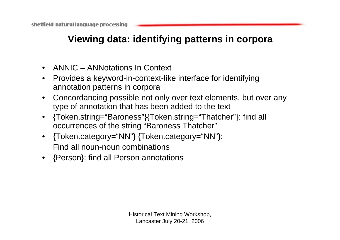# **Viewing data: identifying patterns in corpora**

- •ANNIC – ANNotations In Context
- • Provides a keyword-in-context-like interface for identifying annotation patterns in corpora
- Concordancing possible not only over text elements, but over any type of annotation that has been added to the text
- $\bullet$  {Token.string="Baroness"}{Token.string="Thatcher"}: find all occurrences of the string "Baroness Thatcher"
- $\bullet$  {Token.category="NN"} {Token.category="NN"}: Find all noun-noun combinations
- {Person}: find all Person annotations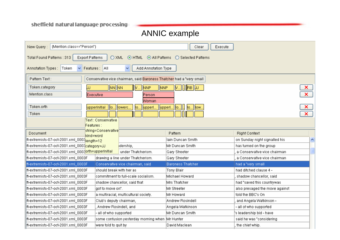#### ANNIC example

| {Mention.class=="Person"}<br>New Query:                                                  | Clear<br>Execute            |                                    |  |
|------------------------------------------------------------------------------------------|-----------------------------|------------------------------------|--|
| Total Found Patterns : 313<br><b>Export Patterns</b><br>⊙ HTML ⊙ All Patterns<br>$O$ XML | ◯ Selected Patterns         |                                    |  |
| Features: All<br>Annotation Types :<br>Token<br>Add Annotation Type<br>×<br>v            |                             |                                    |  |
| Pattern Text:<br>Conservative vice chairman, said Baroness Thatcher had a "very small    |                             |                                    |  |
| NN  NN<br>Token.category<br><b>NNP</b><br>NNP<br>IIM<br>JJ                               | M  .   RB   JJ              | ×                                  |  |
| Mention.class<br>Executive<br>Person                                                     |                             | $\overline{\mathbf{x}}$            |  |
| Woman                                                                                    |                             |                                    |  |
| Token.orth<br>upperInitial<br>llo.<br>lowerc<br>upperl<br>llo.                           | upperl.<br>lo<br>low<br>llo | ×                                  |  |
| Token                                                                                    |                             | $\overline{\mathbf{x}}$            |  |
| Text : Conservative                                                                      |                             |                                    |  |
| Features :                                                                               |                             |                                    |  |
| string=Conservative<br>Document<br>kind=word                                             | Pattern                     | <b>Right Context</b>               |  |
| ft-extremists-07-oct-2001.xml_0009 <mark>length=12</mark>                                | lain Duncan Smith           | on Sunday night signalled his<br>ㅅ |  |
| ft-extremists-07-oct-2001.xml_0003 <mark>category=JJ</mark><br>dership,                  | Mr Duncan Smith             | has turned on the group            |  |
| ft-extremists-07-oct-2001.xml_0003 <mark>orth=upperInitial</mark><br>under Thatcherism.  | Gary Streeter               | a Conservative vice chairman.      |  |
| ft-extremists-07-oct-2001.xml_0003F<br>drawing a line under Thatcherism.                 | Gary Streeter               | a Conservative vice chairman       |  |
| ft-extremists-07-oct-2001.xml_0003F<br>Conservative vice chairman, said                  | <b>Baroness Thatcher</b>    | had a "very small                  |  |
| should break with her as<br>ft-extremists-07-oct-2001.xml_0003F                          | Tony Blair                  | had ditched clause 4 -             |  |
| ft-extremists-07-oct-2001.xml_0003F<br>lcommitment to full-scale socialism.              | Michael Howard              | shadow chancellor, said            |  |
| ft-extremists-07-oct-2001.xml_0003F<br>shadow chancellor, said that                      | Mrs Thatcher                | had "saved this countrywas         |  |
| ft-extremists-07-oct-2001.xml_0003F<br>got to move on".                                  | Mr Streeter                 | also presaged the move against     |  |
| a multiracial, multicultural society.<br> ft-extremists-07-oct-2001.xml_0003F            | Mr Howard                   | told the BBC's On                  |  |
| ft-extremists-07-oct-2001.xml_0003F<br>Club's deputy chairman,                           | Andrew Rosindell            | and Angela Watkinson -             |  |
| ft-extremists-07-oct-2001.xml_0003F<br>Andrew Rosindell, and                             | Angela Watkinson            | - all of who supported             |  |
| all of who supported<br>ft-extremists-07-oct-2001.xml_0003F                              | Mr Duncan Smith             | s leadership bid - have            |  |
| ft-extremists-07-oct-2001.xml_0003F<br>some confusion yesterday morning when Mr Hunter   |                             | said he was "considering           |  |
| ft-extremists-07-oct-2001.xml_0003F<br>were told to quit by                              | David Maclean               | the chief whip.                    |  |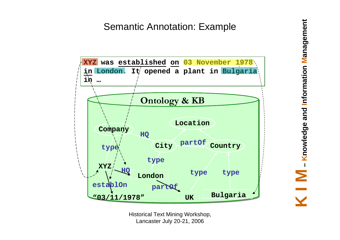# Semantic Annotation: Example

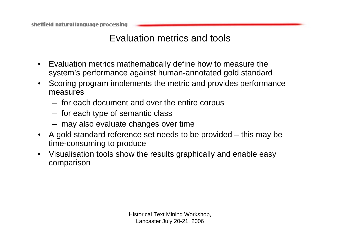### Evaluation metrics and tools

- • Evaluation metrics mathematically define how to measure the system's performance against human-annotated gold standard
- $\bullet$  Scoring program implements the metric and provides performance measures
	- for each document and over the entire corpus
	- for each type of semantic class
	- may also evaluate changes over time
- • A gold standard reference set needs to be provided – this may be time-consuming to produce
- • Visualisation tools show the results graphically and enable easy comparison